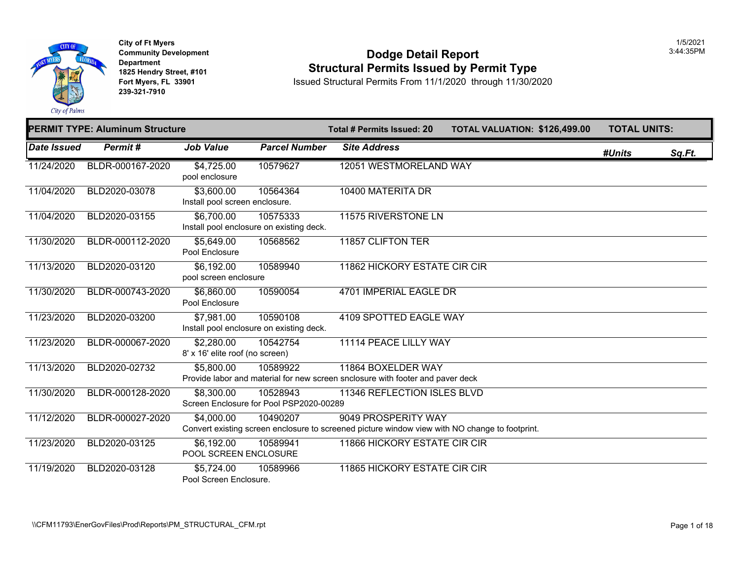

### **Community Developm[ent](https://6,700.00) 12:45 PM 2:44:35 PM 2:44:35 PM 2:44:35 PM 2:44:35 PM 2:44:35 PM 2:44:35PM 3:44:35PM 3:44:35PM 3:44:35PM 3:44:35PM 3:45PM 3:45PM 3:45PM 3:45PM 3:45PM 3:45PM 3:45PM 3:45PM 3:45PM 3:45PM 3:45PM 3:45PM 3 1825 Hendry Street, #101 1825 Hendry Street, #101 1825 Hendry Street, #101 Structural Permits Issued by Permit Type**<br>**1825 Fort Myers, FL 33901 11/30/20 1850ed Structural Permits From 11/1/2020** through 11/30/20

**Fort Myers, FL 33901** Issued Structural Permits From 11/1/2020 through 11/30/2020

|             | <b>PERMIT TYPE: Aluminum Structure</b> |                                               |                                                      | <b>Total # Permits Issued: 20</b>                                                                                     | <b>TOTAL VALUATION: \$126,49</b> |
|-------------|----------------------------------------|-----------------------------------------------|------------------------------------------------------|-----------------------------------------------------------------------------------------------------------------------|----------------------------------|
| Date Issued | Permit#                                | <b>Job Value</b>                              | <b>Parcel Number</b>                                 | <b>Site Address</b>                                                                                                   |                                  |
| 11/24/2020  | BLDR-000167-2020                       | \$4,725.00<br>pool enclosure                  | 10579627                                             | 12051 WESTMORELAND WAY                                                                                                |                                  |
| 11/04/2020  | BLD2020-03078                          | \$3,600.00<br>Install pool screen enclosure.  | 10564364                                             | 10400 MATERITA DR                                                                                                     |                                  |
| 11/04/2020  | BLD2020-03155                          | \$6,700.00                                    | 10575333<br>Install pool enclosure on existing deck. | 11575 RIVERSTONE LN                                                                                                   |                                  |
| 11/30/2020  | BLDR-000112-2020                       | \$5,649.00<br>Pool Enclosure                  | 10568562                                             | 11857 CLIFTON TER                                                                                                     |                                  |
| 11/13/2020  | BLD2020-03120                          | \$6,192.00<br>pool screen enclosure           | 10589940                                             | 11862 HICKORY ESTATE CIR CIR                                                                                          |                                  |
| 11/30/2020  | BLDR-000743-2020                       | \$6,860.00<br>Pool Enclosure                  | 10590054                                             | 4701 IMPERIAL EAGLE DR                                                                                                |                                  |
| 11/23/2020  | BLD2020-03200                          | \$7,981.00                                    | 10590108<br>Install pool enclosure on existing deck. | 4109 SPOTTED EAGLE WAY                                                                                                |                                  |
| 11/23/2020  | BLDR-000067-2020                       | \$2,280.00<br>8' x 16' elite roof (no screen) | 10542754                                             | 11114 PEACE LILLY WAY                                                                                                 |                                  |
| 11/13/2020  | BLD2020-02732                          | \$5,800.00                                    | 10589922                                             | 11864 BOXELDER WAY<br>Provide labor and material for new screen snclosure with footer and paver deck                  |                                  |
| 11/30/2020  | BLDR-000128-2020                       | \$8,300.00                                    | 10528943<br>Screen Enclosure for Pool PSP2020-00289  | 11346 REFLECTION ISLES BLVD                                                                                           |                                  |
| 11/12/2020  | BLDR-000027-2020                       | \$4,000.00                                    | 10490207                                             | 9049 PROSPERITY WAY<br>Convert existing screen enclosure to screened picture window view with NO change to footprint. |                                  |
| 11/23/2020  | BLD2020-03125                          | \$6,192.00<br>POOL SCREEN ENCLOSURE           | 10589941                                             | 11866 HICKORY ESTATE CIR CIR                                                                                          |                                  |
| 11/19/2020  | BLD2020-03128                          | \$5,724.00<br>Pool Screen Enclosure.          | 10589966                                             | 11865 HICKORY ESTATE CIR CIR                                                                                          |                                  |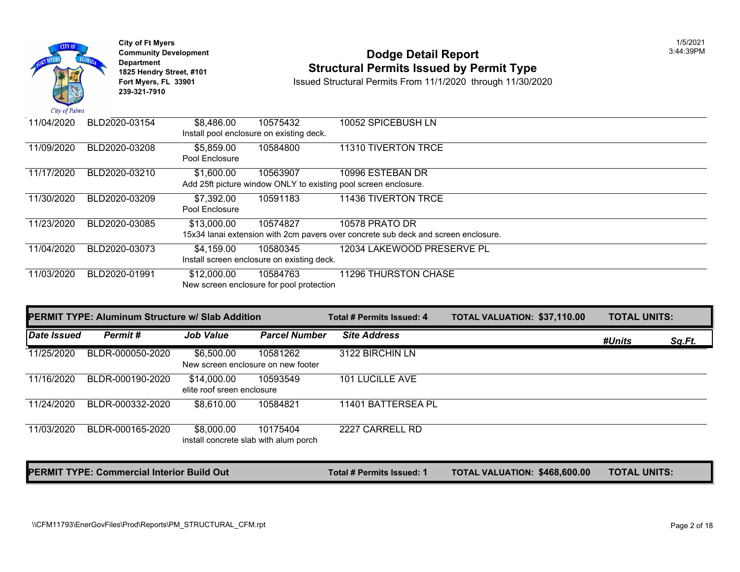

### **Community Development 13:44:39PM**<br>
Dodge Detail Report<br> **Community Development 18:44:39PM**<br> **Structural Permits Issued by Permit Type 1825 Hendry Street, #101**<br>1825 Hendry Street, #101 **Structural Permits Issued by Permit Type**<br>11/1/2020 through 11/30/20<br>13/2020 Fort Myers, FL 33901

**Issued Structural Permits From 11/1/2020 through 11/30/2020** 

| 11/04/2020 | BLD2020-03154 | \$8,486.00                   | 10575432<br>Install pool enclosure on existing deck. | 10052 SPICEBUSH LN                                                                 |
|------------|---------------|------------------------------|------------------------------------------------------|------------------------------------------------------------------------------------|
| 11/09/2020 | BLD2020-03208 | \$5,859.00<br>Pool Enclosure | 10584800                                             | 11310 TIVERTON TRCE                                                                |
| 11/17/2020 | BLD2020-03210 | \$1,600.00                   | 10563907                                             | 10996 ESTEBAN DR                                                                   |
|            |               |                              |                                                      | Add 25ft picture window ONLY to existing pool screen enclosure.                    |
| 11/30/2020 | BLD2020-03209 | \$7,392.00                   | 10591183                                             | 11436 TIVERTON TRCE                                                                |
|            |               | Pool Enclosure               |                                                      |                                                                                    |
| 11/23/2020 | BLD2020-03085 | \$13,000.00                  | 10574827                                             | 10578 PRATO DR                                                                     |
|            |               |                              |                                                      | 15x34 lanai extension with 2cm pavers over concrete sub deck and screen enclosure. |
| 11/04/2020 | BLD2020-03073 | \$4,159.00                   | 10580345                                             | 12034 LAKEWOOD PRESERVE PL                                                         |
|            |               |                              | Install screen enclosure on existing deck.           |                                                                                    |
| 11/03/2020 | BLD2020-01991 | \$12,000.00                  | 10584763                                             | 11296 THURSTON CHASE                                                               |
|            |               |                              | New screen enclosure for pool protection             |                                                                                    |

|             | <b>IPERMIT TYPE: Aluminum Structure w/ Slab Addition</b> |                                                     |                      | Total # Permits Issued: 4 | <b>TOTAL VALUATION: \$37,110.00</b>  | <b>TOTAL UNITS:</b> |        |
|-------------|----------------------------------------------------------|-----------------------------------------------------|----------------------|---------------------------|--------------------------------------|---------------------|--------|
| Date Issued | Permit#                                                  | <b>Job Value</b>                                    | <b>Parcel Number</b> | <b>Site Address</b>       |                                      | #Units              | Sq.Ft. |
| 11/25/2020  | BLDR-000050-2020                                         | \$6,500.00<br>New screen enclosure on new footer    | 10581262             | 3122 BIRCHIN LN           |                                      |                     |        |
| 11/16/2020  | BLDR-000190-2020                                         | \$14,000.00<br>elite roof sreen enclosure           | 10593549             | 101 LUCILLE AVE           |                                      |                     |        |
| 11/24/2020  | BLDR-000332-2020                                         | \$8,610.00                                          | 10584821             | 11401 BATTERSEA PL        |                                      |                     |        |
| 11/03/2020  | BLDR-000165-2020                                         | \$8,000.00<br>install concrete slab with alum porch | 10175404             | 2227 CARRELL RD           |                                      |                     |        |
|             | <b>PERMIT TYPE: Commercial Interior Build Out</b>        |                                                     |                      | Total # Permits Issued: 1 | <b>TOTAL VALUATION: \$468,600.00</b> | <b>TOTAL UNITS:</b> |        |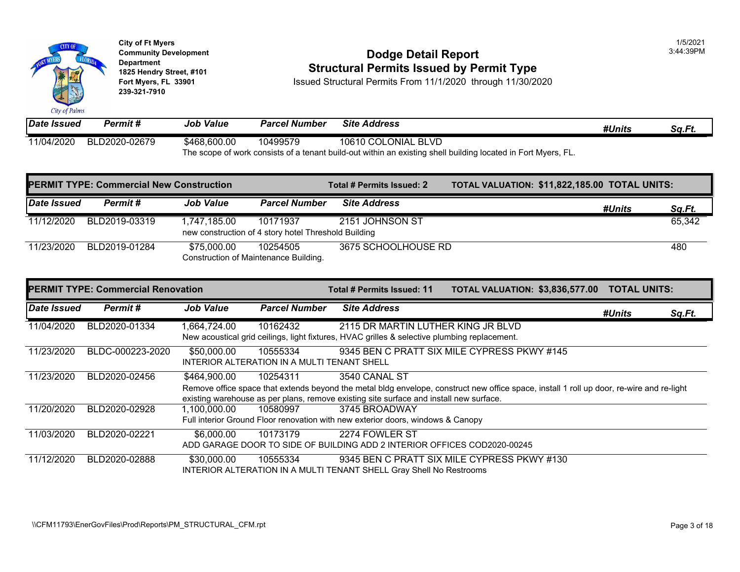

# City of Ft Myers<br>
Community Development<br>
Dodge Detail Report<br>
1825 Hendry Street, #101<br>
1825 Hendry Street, #101 **1825 Hendry Street, #101**<br>1825 Hendry Street, #101 **1825 Hendry Structural Permits Issued by Permit Type**<br>11/1/2020 through 11/30/20 Fort Myers, FL 33901

**Fort Myster Structural Permits From 11/1/2020 through 11/30/2020** 

| Date Issued | Permit #      | <b>Job Value</b> | <b>Parcel Number</b> | <b>Site Address</b>                                                                                          |
|-------------|---------------|------------------|----------------------|--------------------------------------------------------------------------------------------------------------|
| 11/04/2020  | BLD2020-02679 | \$468,600.00     | 10499579             | 10610 COLONIAL BLVD                                                                                          |
|             |               |                  |                      | The scope of work consists of a tenant build-out within an existing shell building located in Fort Myers, FL |

| <b>PERMIT TYPE: Commercial New Construction</b> |               |                  | Total # Permits Issued: 2                                        | <b>TOTAL VALUATION: \$11,822</b> |  |  |
|-------------------------------------------------|---------------|------------------|------------------------------------------------------------------|----------------------------------|--|--|
| <b>Date Issued</b>                              | Permit #      | <b>Job Value</b> | <b>Parcel Number</b>                                             | <b>Site Address</b>              |  |  |
| 11/12/2020                                      | BLD2019-03319 | 1,747,185.00     | 10171937<br>new construction of 4 story hotel Threshold Building | 2151 JOHNSON ST                  |  |  |
| 11/23/2020                                      | BLD2019-01284 | \$75,000.00      | 10254505<br>Construction of Maintenance Building.                | 3675 SCHOOLHOUSE RD              |  |  |

|             | <b>PERMIT TYPE: Commercial Renovation</b> |                  |                                                         | Total # Permits Issued: 11                                                                                                                                                                                          | <b>TOTAL VALUATION: \$3,836,5</b> |  |
|-------------|-------------------------------------------|------------------|---------------------------------------------------------|---------------------------------------------------------------------------------------------------------------------------------------------------------------------------------------------------------------------|-----------------------------------|--|
| Date Issued | Permit#                                   | <b>Job Value</b> | <b>Parcel Number</b>                                    | <b>Site Address</b>                                                                                                                                                                                                 |                                   |  |
| 11/04/2020  | BLD2020-01334                             | 1,664,724.00     | 10162432                                                | 2115 DR MARTIN LUTHER KING JR BLVD<br>New acoustical grid ceilings, light fixtures, HVAC grilles & selective plumbing replacement.                                                                                  |                                   |  |
| 11/23/2020  | BLDC-000223-2020                          | \$50,000.00      | 10555334<br>INTERIOR ALTERATION IN A MULTI TENANT SHELL | 9345 BEN C PRATT SIX MILE CYPRESS PKWY #145                                                                                                                                                                         |                                   |  |
| 11/23/2020  | BLD2020-02456                             | \$464,900.00     | 10254311                                                | 3540 CANAL ST<br>Remove office space that extends beyond the metal bldg envelope, construct new office space, install 1 r<br>existing warehouse as per plans, remove existing site surface and install new surface. |                                   |  |
| 11/20/2020  | BLD2020-02928                             | 1.100.000.00     | 10580997                                                | 3745 BROADWAY<br>Full interior Ground Floor renovation with new exterior doors, windows & Canopy                                                                                                                    |                                   |  |
| 11/03/2020  | BLD2020-02221                             | \$6,000.00       | 10173179                                                | 2274 FOWLER ST<br>ADD GARAGE DOOR TO SIDE OF BUILDING ADD 2 INTERIOR OFFICES COD2020-00245                                                                                                                          |                                   |  |
| 11/12/2020  | BLD2020-02888                             | \$30,000.00      | 10555334                                                | 9345 BEN C PRATT SIX MILE CYPRESS PKWY #130<br><b>INTERIOR ALTERATION IN A MULTI TENANT SHELL Gray Shell No Restrooms</b>                                                                                           |                                   |  |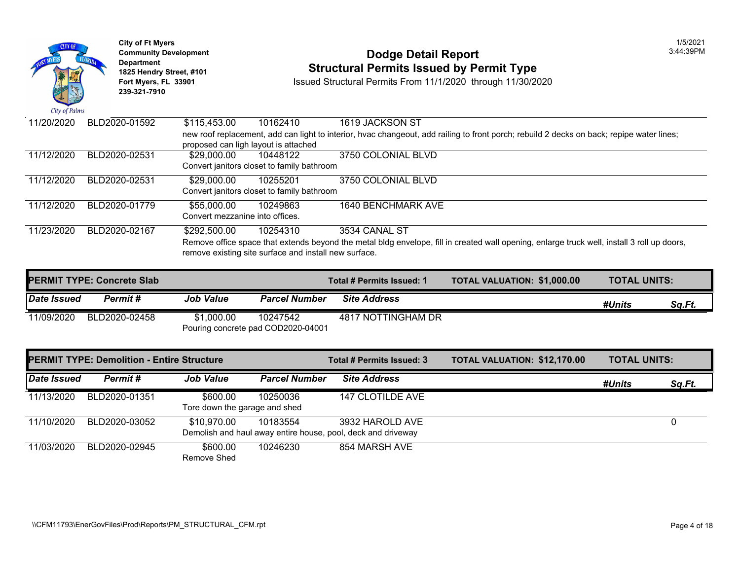

| <b>PERMIT TYPE: Concrete Slab</b> |               |                  |                                                | Total # Permits Issued: 1 | <b>TOTAL VALUATION: \$1,000.0</b> |
|-----------------------------------|---------------|------------------|------------------------------------------------|---------------------------|-----------------------------------|
| Date Issued                       | Permit #      | <b>Job Value</b> | <b>Parcel Number</b>                           | <b>Site Address</b>       |                                   |
| 11/09/2020                        | BLD2020-02458 | \$1,000.00       | 10247542<br>Pouring concrete pad COD2020-04001 | 4817 NOTTINGHAM DR        |                                   |

|             | <b>PERMIT TYPE: Demolition - Entire Structure</b> |                                           | Total # Permits Issued: 3 | <b>TOTAL VALUATION: \$12,170</b>                                                |  |
|-------------|---------------------------------------------------|-------------------------------------------|---------------------------|---------------------------------------------------------------------------------|--|
| Date Issued | Permit #                                          | <b>Job Value</b>                          | <b>Parcel Number</b>      | <b>Site Address</b>                                                             |  |
| 11/13/2020  | BLD2020-01351                                     | \$600.00<br>Tore down the garage and shed | 10250036                  | 147 CLOTILDE AVE                                                                |  |
| 11/10/2020  | BLD2020-03052                                     | \$10,970.00                               | 10183554                  | 3932 HAROLD AVE<br>Demolish and haul away entire house, pool, deck and driveway |  |
| 11/03/2020  | BLD2020-02945                                     | \$600.00<br>Remove Shed                   | 10246230                  | 854 MARSH AVE                                                                   |  |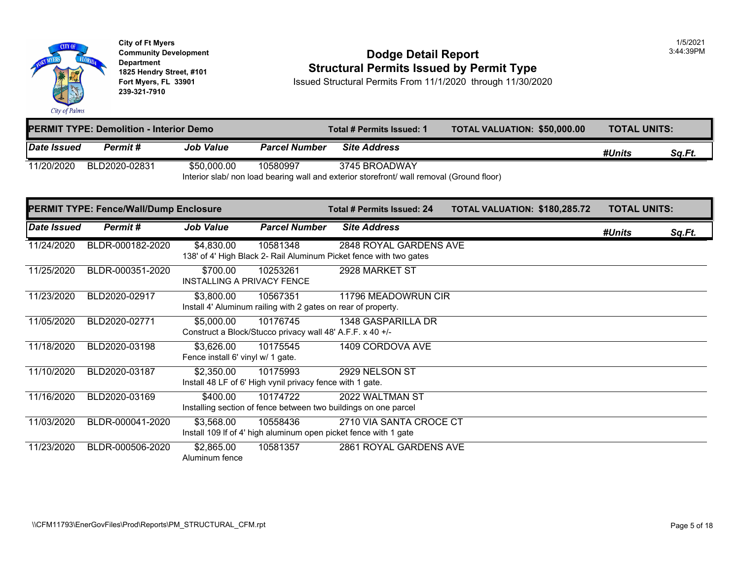

# City of Ft Myers<br> **Community Development**<br> **Dodge Detail Report 1825 Hendry Street, #101 1825 Hendry Street, #101 1825 Hendry Street, #101 Structural Permits Issued by Permit Type**<br>**1825 Fort Myers, FL 33901 11/30/20 1850ed Structural Permits From 11/1/2020** through 11/30/20

**Fort Myers, FL 33901** Issued Structural Permits From 11/1/2020 through 11/30/2020

|             | <b>PERMIT TYPE: Demolition - Interior Demo</b> |                                                                                           |                      | Total # Permits Issued: 1 | <b>TOTAL VALUATION: \$50,000</b> |  |  |  |
|-------------|------------------------------------------------|-------------------------------------------------------------------------------------------|----------------------|---------------------------|----------------------------------|--|--|--|
| Date Issued | Permit #                                       | <b>Job Value</b>                                                                          | <b>Parcel Number</b> | <b>Site Address</b>       |                                  |  |  |  |
| 11/20/2020  | BLD2020-02831                                  | \$50,000.00                                                                               | 10580997             | 3745 BROADWAY             |                                  |  |  |  |
|             |                                                | Interior slab/ non load bearing wall and exterior storefront/ wall removal (Ground floor) |                      |                           |                                  |  |  |  |

|             | <b>PERMIT TYPE: Fence/Wall/Dump Enclosure</b> |                                                 |                                                                           | Total # Permits Issued: 24                                                                   | <b>TOTAL VALUATION: \$180,28</b> |
|-------------|-----------------------------------------------|-------------------------------------------------|---------------------------------------------------------------------------|----------------------------------------------------------------------------------------------|----------------------------------|
| Date Issued | Permit#                                       | Job Value                                       | <b>Parcel Number</b>                                                      | <b>Site Address</b>                                                                          |                                  |
| 11/24/2020  | BLDR-000182-2020                              | \$4,830.00                                      | 10581348                                                                  | 2848 ROYAL GARDENS AVE<br>138' of 4' High Black 2- Rail Aluminum Picket fence with two gates |                                  |
| 11/25/2020  | BLDR-000351-2020                              | \$700.00<br><b>INSTALLING A PRIVACY FENCE</b>   | 10253261                                                                  | 2928 MARKET ST                                                                               |                                  |
| 11/23/2020  | BLD2020-02917                                 | \$3,800.00                                      | 10567351<br>Install 4' Aluminum railing with 2 gates on rear of property. | 11796 MEADOWRUN CIR                                                                          |                                  |
| 11/05/2020  | BLD2020-02771                                 | \$5,000.00                                      | 10176745<br>Construct a Block/Stucco privacy wall 48' A.F.F. x 40 +/-     | 1348 GASPARILLA DR                                                                           |                                  |
| 11/18/2020  | BLD2020-03198                                 | \$3,626.00<br>Fence install 6' vinyl w/ 1 gate. | 10175545                                                                  | 1409 CORDOVA AVE                                                                             |                                  |
| 11/10/2020  | BLD2020-03187                                 | \$2,350.00                                      | 10175993<br>Install 48 LF of 6' High vynil privacy fence with 1 gate.     | 2929 NELSON ST                                                                               |                                  |
| 11/16/2020  | BLD2020-03169                                 | \$400.00                                        | 10174722                                                                  | 2022 WALTMAN ST<br>Installing section of fence between two buildings on one parcel           |                                  |
| 11/03/2020  | BLDR-000041-2020                              | \$3,568.00                                      | 10558436                                                                  | 2710 VIA SANTA CROCE CT<br>Install 109 If of 4' high aluminum open picket fence with 1 gate  |                                  |
| 11/23/2020  | BLDR-000506-2020                              | \$2,865.00<br>Aluminum fence                    | 10581357                                                                  | 2861 ROYAL GARDENS AVE                                                                       |                                  |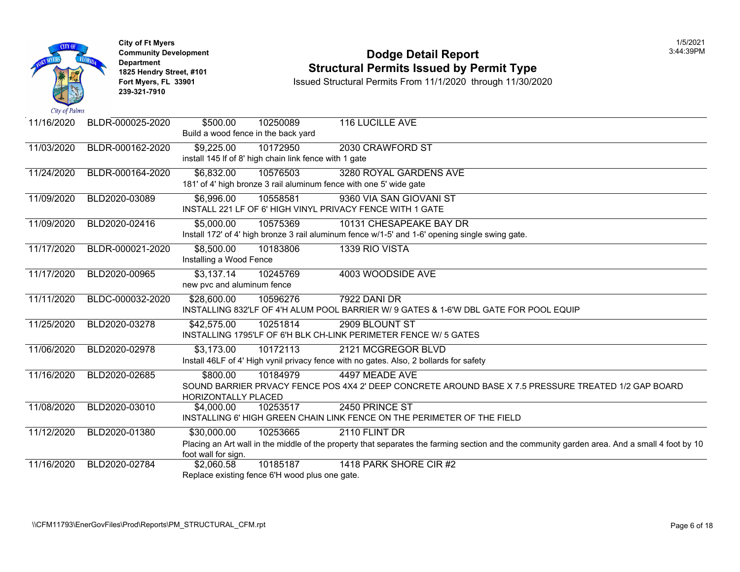

**City of Ft Myers** 1/5/2021 **Department 239-321-7910** 

# City of Ft Myers<br> **Community Development**<br> **Dodge Detail Report 1825 Hendry Street, #101 1825 Hendry Street, #101 1825 Hendry Street, #101 Structural Permits Issued by Permit Type**<br>**1825 Fort Myers, FL 33901 11/30/20 1850ed Structural Permits From 11/1/2020** through 11/30/20

**Fort Myster Structural Permits From 11/1/2020 through 11/30/2020** 

| 11/16/2020 | BLDR-000025-2020 | \$500.00                            | 10250089                                               | <b>116 LUCILLE AVE</b>                                                                                    |
|------------|------------------|-------------------------------------|--------------------------------------------------------|-----------------------------------------------------------------------------------------------------------|
|            |                  | Build a wood fence in the back yard |                                                        |                                                                                                           |
| 11/03/2020 | BLDR-000162-2020 | \$9,225.00                          | 10172950                                               | 2030 CRAWFORD ST                                                                                          |
|            |                  |                                     | install 145 If of 8' high chain link fence with 1 gate |                                                                                                           |
| 11/24/2020 | BLDR-000164-2020 | \$6,832.00                          | 10576503                                               | 3280 ROYAL GARDENS AVE                                                                                    |
|            |                  |                                     |                                                        | 181' of 4' high bronze 3 rail aluminum fence with one 5' wide gate                                        |
| 11/09/2020 | BLD2020-03089    | \$6,996.00                          | 10558581                                               | 9360 VIA SAN GIOVANI ST                                                                                   |
|            |                  |                                     |                                                        | INSTALL 221 LF OF 6' HIGH VINYL PRIVACY FENCE WITH 1 GATE                                                 |
| 11/09/2020 | BLD2020-02416    | \$5,000.00                          | 10575369                                               | 10131 CHESAPEAKE BAY DR                                                                                   |
|            |                  |                                     |                                                        | Install 172' of 4' high bronze 3 rail aluminum fence w/1-5' and 1-6' opening single swing gate.           |
| 11/17/2020 | BLDR-000021-2020 | \$8,500.00                          | 10183806                                               | 1339 RIO VISTA                                                                                            |
|            |                  | Installing a Wood Fence             |                                                        |                                                                                                           |
| 11/17/2020 | BLD2020-00965    | \$3,137.14                          | 10245769                                               | 4003 WOODSIDE AVE                                                                                         |
|            |                  | new pvc and aluminum fence          |                                                        |                                                                                                           |
| 11/11/2020 | BLDC-000032-2020 | \$28,600.00                         | 10596276                                               | <b>7922 DANI DR</b>                                                                                       |
|            |                  |                                     |                                                        | INSTALLING 832'LF OF 4'H ALUM POOL BARRIER W/ 9 GATES & 1-6'W DBL GATE FOR POOL EQU                       |
| 11/25/2020 | BLD2020-03278    | \$42,575.00                         | 10251814                                               | 2909 BLOUNT ST                                                                                            |
|            |                  |                                     |                                                        | INSTALLING 1795'LF OF 6'H BLK CH-LINK PERIMETER FENCE W/ 5 GATES                                          |
| 11/06/2020 | BLD2020-02978    | \$3,173.00                          | 10172113                                               | 2121 MCGREGOR BLVD                                                                                        |
|            |                  |                                     |                                                        | Install 46LF of 4' High vynil privacy fence with no gates. Also, 2 bollards for safety                    |
| 11/16/2020 | BLD2020-02685    | \$800.00                            | 10184979                                               | 4497 MEADE AVE                                                                                            |
|            |                  |                                     |                                                        | SOUND BARRIER PRVACY FENCE POS 4X4 2' DEEP CONCRETE AROUND BASE X 7.5 PRESSURE                            |
|            |                  | HORIZONTALLY PLACED                 |                                                        |                                                                                                           |
| 11/08/2020 | BLD2020-03010    | \$4,000.00                          | 10253517                                               | 2450 PRINCE ST                                                                                            |
|            |                  |                                     |                                                        | INSTALLING 6' HIGH GREEN CHAIN LINK FENCE ON THE PERIMETER OF THE FIELD                                   |
| 11/12/2020 | BLD2020-01380    | \$30,000.00                         | 10253665                                               | 2110 FLINT DR                                                                                             |
|            |                  |                                     |                                                        | Placing an Art wall in the middle of the property that separates the farming section and the community ga |
|            |                  | foot wall for sign.                 |                                                        |                                                                                                           |
| 11/16/2020 | BLD2020-02784    | \$2,060.58                          | 10185187                                               | 1418 PARK SHORE CIR #2                                                                                    |
|            |                  |                                     | Replace existing fence 6'H wood plus one gate.         |                                                                                                           |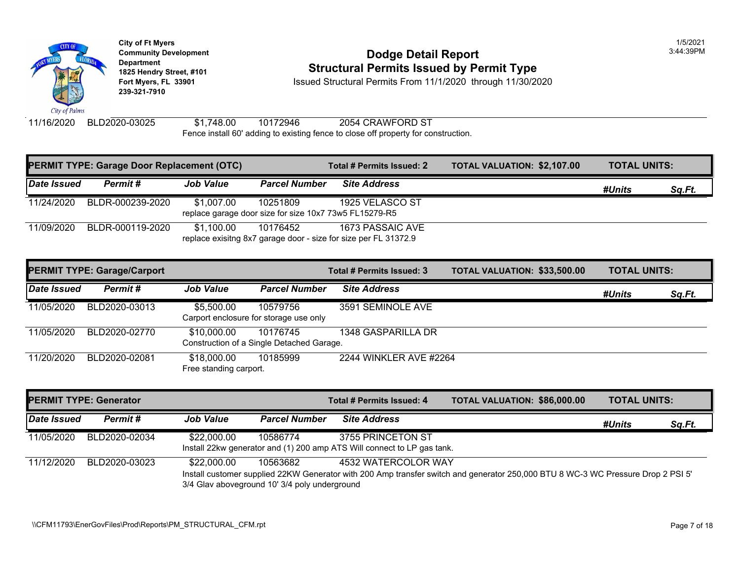

#### **Community Developm[ent](https://1,100.00) <b>Signal** 2:44:39 Podge Detail Report **1825 Hendry Street, #101**<br>1825 Hendry Street, #101 **Structural Permits Issued by Permit Type**<br>11/1/2020 through 11/30/20

**Fort Myers, FL 33901** Issued Structural Permits From 11/1/2020 through 11/30/2020

11/16/2020 BLD2020-03025 \$1,748.00 10172946 2054 CRAWFORD ST Fen[ce install 6](https://5,500.00)0' adding to existing fence to close off property for construction.

|             | <b>PERMIT TYPE: Garage Door Replacement (OTC)</b> |                                                                      |                      | Total # Permits Issued: 2                                                           | <b>TOTAL VALUATION: \$2,107.0</b> |
|-------------|---------------------------------------------------|----------------------------------------------------------------------|----------------------|-------------------------------------------------------------------------------------|-----------------------------------|
| Date Issued | Permit#                                           | <b>Job Value</b>                                                     | <b>Parcel Number</b> | <b>Site Address</b>                                                                 |                                   |
| 11/24/2020  | BLDR-000239-2020                                  | \$1,007.00<br>replace garage door size for size 10x7 73w5 FL15279-R5 | 10251809             | 1925 VELASCO ST                                                                     |                                   |
| 11/09/2020  | BLDR-000119-2020                                  | \$1.100.00                                                           | 10176452             | 1673 PASSAIC AVE<br>replace exisitng 8x7 garage door - size for size per FL 31372.9 |                                   |

|             | <b>PERMIT TYPE: Garage/Carport</b> |                                       |                                                       | Total # Permits Issued: 3 | <b>TOTAL VALUATION: \$33,500</b> |
|-------------|------------------------------------|---------------------------------------|-------------------------------------------------------|---------------------------|----------------------------------|
| Date Issued | Permit#                            | <b>Job Value</b>                      | <b>Parcel Number</b>                                  | <b>Site Address</b>       |                                  |
| 11/05/2020  | BLD2020-03013                      | \$5,500.00                            | 10579756<br>Carport enclosure for storage use only    | 3591 SEMINOLE AVE         |                                  |
| 11/05/2020  | BLD2020-02770                      | \$10,000.00                           | 10176745<br>Construction of a Single Detached Garage. | 1348 GASPARILLA DR        |                                  |
| 11/20/2020  | BLD2020-02081                      | \$18,000.00<br>Free standing carport. | 10185999                                              | 2244 WINKLER AVE #2264    |                                  |

| <b>PERMIT TYPE: Generator</b> |               |                                                              |                      | Total # Permits Issued: 4                                                                                                  | <b>TOTAL VALUATION: \$86,000</b> |  |
|-------------------------------|---------------|--------------------------------------------------------------|----------------------|----------------------------------------------------------------------------------------------------------------------------|----------------------------------|--|
| Date Issued                   | Permit#       | <b>Job Value</b>                                             | <b>Parcel Number</b> | <b>Site Address</b>                                                                                                        |                                  |  |
| 11/05/2020                    | BLD2020-02034 | \$22,000.00                                                  | 10586774             | 3755 PRINCETON ST<br>Install 22kw generator and (1) 200 amp ATS Will connect to LP gas tank.                               |                                  |  |
| 11/12/2020                    | BLD2020-03023 | \$22,000.00<br>3/4 Glav aboveground 10' 3/4 poly underground | 10563682             | 4532 WATERCOLOR WAY<br>Install customer supplied 22KW Generator with 200 Amp transfer switch and generator 250,000 BTU 8 W |                                  |  |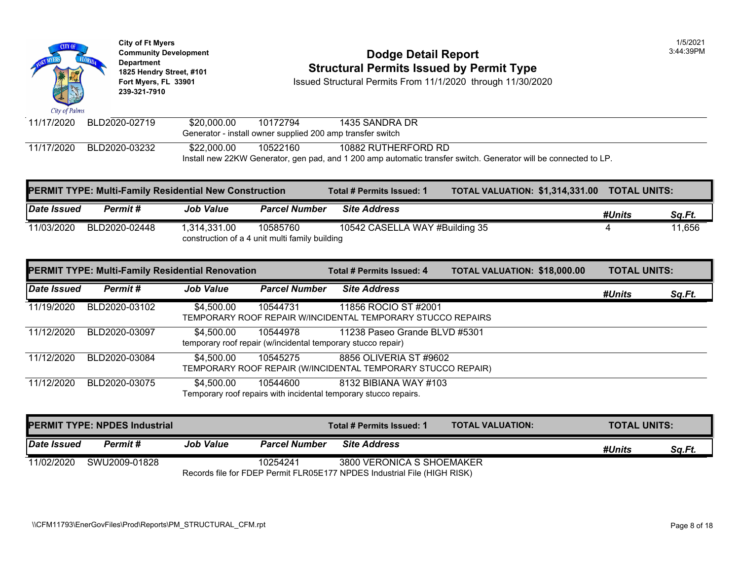| City of Palms | <b>City of Ft Myers</b><br><b>Community Development</b><br>Department<br>1825 Hendry Street, #101<br>Fort Myers, FL 33901<br>239-321-7910 |             |          | Dodge Detail Report<br><b>Structural Permits Issued by Permit Type</b><br>Issued Structural Permits From 11/1/2020 through 11/30/2020 |
|---------------|-------------------------------------------------------------------------------------------------------------------------------------------|-------------|----------|---------------------------------------------------------------------------------------------------------------------------------------|
| 11/17/2020    | BLD2020-02719                                                                                                                             | \$20,000,00 | 10172794 | 1435 SANDRA DR                                                                                                                        |
|               |                                                                                                                                           |             |          | Generator - install owner supplied 200 amp transfer switch                                                                            |
| 11/17/2020    | BLD2020-03232                                                                                                                             | \$22,000.00 | 10522160 | 10882 RUTHERFORD RD                                                                                                                   |

|             | <b>PERMIT TYPE: Multi-Family Residential New Construction</b> |                  |                                                            | Total # Permits Issued: 1      | <b>TOTAL VALUATION: \$1,314,3</b> |  |
|-------------|---------------------------------------------------------------|------------------|------------------------------------------------------------|--------------------------------|-----------------------------------|--|
| Date Issued | Permit #                                                      | <b>Job Value</b> | <b>Parcel Number</b>                                       | <b>Site Address</b>            |                                   |  |
| 11/03/2020  | BLD2020-02448                                                 | 1.314.331.00     | 10585760<br>construction of a 4 unit multi family building | 10542 CASELLA WAY #Building 35 |                                   |  |

Install new 22KW Generator, gen pad, and 1 200 amp automatic transfer switch. Generator will be conne

|             |               | <b>PERMIT TYPE: Multi-Family Residential Renovation</b> |                      | Total # Permits Issued: 4                                                                     | <b>TOTAL VALUATION: \$18,000</b> |  |
|-------------|---------------|---------------------------------------------------------|----------------------|-----------------------------------------------------------------------------------------------|----------------------------------|--|
| Date Issued | Permit#       | <b>Job Value</b>                                        | <b>Parcel Number</b> | <b>Site Address</b>                                                                           |                                  |  |
| 11/19/2020  | BLD2020-03102 | \$4,500.00                                              | 10544731             | 11856 ROCIO ST #2001<br>TEMPORARY ROOF REPAIR W/INCIDENTAL TEMPORARY STUCCO REPAIRS           |                                  |  |
| 11/12/2020  | BLD2020-03097 | \$4,500.00                                              | 10544978             | 11238 Paseo Grande BLVD #5301<br>temporary roof repair (w/incidental temporary stucco repair) |                                  |  |
| 11/12/2020  | BLD2020-03084 | \$4.500.00                                              | 10545275             | 8856 OLIVERIA ST #9602<br>TEMPORARY ROOF REPAIR (W/INCIDENTAL TEMPORARY STUCCO REPAIR)        |                                  |  |
| 11/12/2020  | BLD2020-03075 | \$4,500.00                                              | 10544600             | 8132 BIBIANA WAY #103<br>Temporary roof repairs with incidental temporary stucco repairs.     |                                  |  |

|             | <b>PERMIT TYPE: NPDES Industrial</b> |                  |                      | Total # Permits Issued: 1                                                                             | <b>TOTAL VALUATION:</b> |
|-------------|--------------------------------------|------------------|----------------------|-------------------------------------------------------------------------------------------------------|-------------------------|
| Date Issued | Permit #                             | <b>Job Value</b> | <b>Parcel Number</b> | <b>Site Address</b>                                                                                   |                         |
| 11/02/2020  | SWU2009-01828                        |                  | 10254241             | 3800 VERONICA S SHOEMAKER<br>Records file for FDEP Permit FLR05E177 NPDES Industrial File (HIGH RISK) |                         |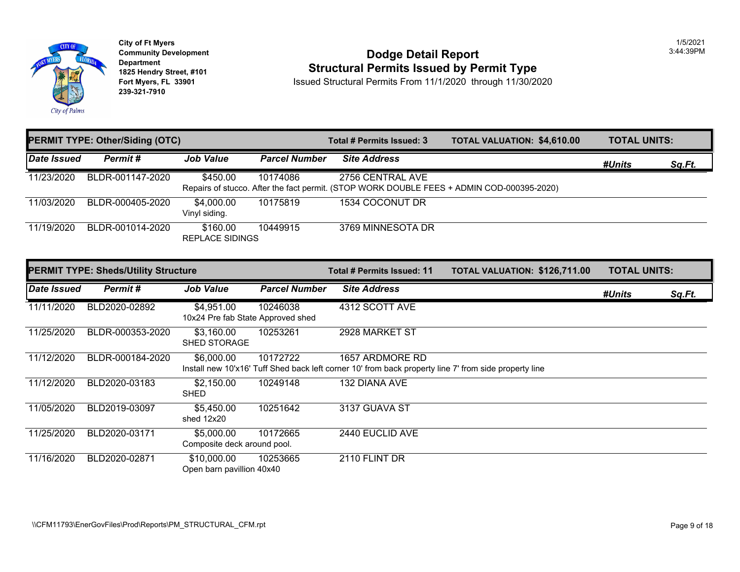

# City of Ft Myers<br> **Community Development**<br> **Dodge Detail Report 1825 Hendry Street, #101 1825 Hendry Street, #101 1825 Hendry Street, #101 Structural Permits Issued by Permit Type**<br>**1825 Fort Myers, FL 33901 11/30/20 1850ed Structural Permits From 11/1/2020** through 11/30/20

**Fort Myster Structural Permits From 11/1/2020 through 11/30/2020** 

|             | <b>PERMIT TYPE: Other/Siding (OTC)</b> |                             |               | Total # Permits Issued: 3                                                                                     | <b>TOTAL VALUATION: \$4,610.0</b> |
|-------------|----------------------------------------|-----------------------------|---------------|---------------------------------------------------------------------------------------------------------------|-----------------------------------|
| Date Issued | Permit#                                | <b>Job Value</b>            | Parcel Number | <b>Site Address</b>                                                                                           |                                   |
| 11/23/2020  | BLDR-001147-2020                       | \$450.00                    | 10174086      | 2756 CENTRAL AVE<br>Repairs of stucco. After the fact permit. (STOP WORK DOUBLE FEES + ADMIN COD-000395-2020) |                                   |
| 11/03/2020  | BLDR-000405-2020                       | \$4,000.00<br>Vinyl siding. | 10175819      | 1534 COCONUT DR                                                                                               |                                   |
| 11/19/2020  | BLDR-001014-2020                       | \$160.00<br>REPLACE SIDINGS | 10449915      | 3769 MINNESOTA DR                                                                                             |                                   |

|             | <b>PERMIT TYPE: Sheds/Utility Structure</b> |                                                 |                      | Total # Permits Issued: 11                                                                                               | <b>TOTAL VALUATION: \$126,71</b> |
|-------------|---------------------------------------------|-------------------------------------------------|----------------------|--------------------------------------------------------------------------------------------------------------------------|----------------------------------|
| Date Issued | Permit #                                    | <b>Job Value</b>                                | <b>Parcel Number</b> | <b>Site Address</b>                                                                                                      |                                  |
| 11/11/2020  | BLD2020-02892                               | \$4,951.00<br>10x24 Pre fab State Approved shed | 10246038             | 4312 SCOTT AVE                                                                                                           |                                  |
| 11/25/2020  | BLDR-000353-2020                            | \$3,160.00<br><b>SHED STORAGE</b>               | 10253261             | 2928 MARKET ST                                                                                                           |                                  |
| 11/12/2020  | BLDR-000184-2020                            | \$6,000,00                                      | 10172722             | 1657 ARDMORE RD<br>Install new 10'x16' Tuff Shed back left corner 10' from back property line 7' from side property line |                                  |
| 11/12/2020  | BLD2020-03183                               | \$2,150.00<br><b>SHED</b>                       | 10249148             | 132 DIANA AVE                                                                                                            |                                  |
| 11/05/2020  | BLD2019-03097                               | \$5,450,00<br>shed 12x20                        | 10251642             | 3137 GUAVA ST                                                                                                            |                                  |
| 11/25/2020  | BLD2020-03171                               | \$5,000.00<br>Composite deck around pool.       | 10172665             | 2440 EUCLID AVE                                                                                                          |                                  |
| 11/16/2020  | BLD2020-02871                               | \$10,000.00<br>Open barn pavillion 40x40        | 10253665             | 2110 FLINT DR                                                                                                            |                                  |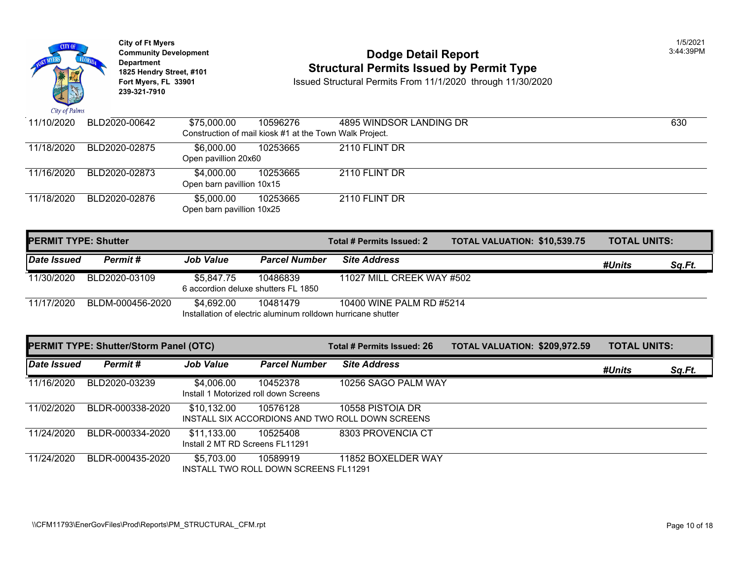

### **Community Development 2:44:39 PM Dodge Detail Report 1825 Hendry Street, #101 1825 Hendry Street, #101 1825 Hendry Street, #101 Structural Permits Issued by Permit Type**<br>**1825 Fort Myers, FL 33901 11/30/20 1850ed Structural Permits From 11/1/2020** through 11/30/20

**Fort Mysued Structural Permits From 11/1/2020 through 11/30/2020** 

| 11/10/2020 | BLD2020-00642 | \$75,000.00               | 10596276                                                | 4895 WINDSOR LANDING DR |  |
|------------|---------------|---------------------------|---------------------------------------------------------|-------------------------|--|
|            |               |                           | Construction of mail kiosk #1 at the Town Walk Project. |                         |  |
| 11/18/2020 | BLD2020-02875 | \$6.000.00                | 10253665                                                | 2110 FLINT DR           |  |
|            |               | Open pavillion 20x60      |                                                         |                         |  |
| 11/16/2020 | BLD2020-02873 | \$4.000.00                | 10253665                                                | 2110 FLINT DR           |  |
|            |               | Open barn pavillion 10x15 |                                                         |                         |  |
| 11/18/2020 | BLD2020-02876 | \$5,000.00                | 10253665                                                | 2110 FLINT DR           |  |
|            |               | Open barn pavillion 10x25 |                                                         |                         |  |
|            |               |                           |                                                         |                         |  |

| <b>PERMIT TYPE: Shutter</b> |                  |                                                   |                      | Total # Permits Issued: 2                                                                | <b>TOTAL VALUATION: \$10,539</b> |  |
|-----------------------------|------------------|---------------------------------------------------|----------------------|------------------------------------------------------------------------------------------|----------------------------------|--|
| Date Issued                 | Permit #         | <b>Job Value</b>                                  | <b>Parcel Number</b> | <b>Site Address</b>                                                                      |                                  |  |
| 11/30/2020                  | BLD2020-03109    | \$5,847.75<br>6 accordion deluxe shutters FL 1850 | 10486839             | 11027 MILL CREEK WAY #502                                                                |                                  |  |
| 11/17/2020                  | BLDM-000456-2020 | \$4.692.00                                        | 10481479             | 10400 WINE PALM RD #5214<br>Installation of electric aluminum rolldown hurricane shutter |                                  |  |

|             | <b>PERMIT TYPE: Shutter/Storm Panel (OTC)</b> |                                                | Total # Permits Issued: 26                        | <b>TOTAL VALUATION: \$209,97</b>                                     |  |  |
|-------------|-----------------------------------------------|------------------------------------------------|---------------------------------------------------|----------------------------------------------------------------------|--|--|
| Date Issued | Permit#                                       | <b>Job Value</b>                               | <b>Parcel Number</b>                              | <b>Site Address</b>                                                  |  |  |
| 11/16/2020  | BLD2020-03239                                 | \$4,006.00                                     | 10452378<br>Install 1 Motorized roll down Screens | 10256 SAGO PALM WAY                                                  |  |  |
| 11/02/2020  | BLDR-000338-2020                              | \$10,132.00                                    | 10576128                                          | 10558 PISTOIA DR<br>INSTALL SIX ACCORDIONS AND TWO ROLL DOWN SCREENS |  |  |
| 11/24/2020  | BLDR-000334-2020                              | \$11,133.00<br>Install 2 MT RD Screens FL11291 | 10525408                                          | 8303 PROVENCIA CT                                                    |  |  |
| 11/24/2020  | BLDR-000435-2020                              | \$5,703.00                                     | 10589919<br>INSTALL TWO ROLL DOWN SCREENS FL11291 | 11852 BOXELDER WAY                                                   |  |  |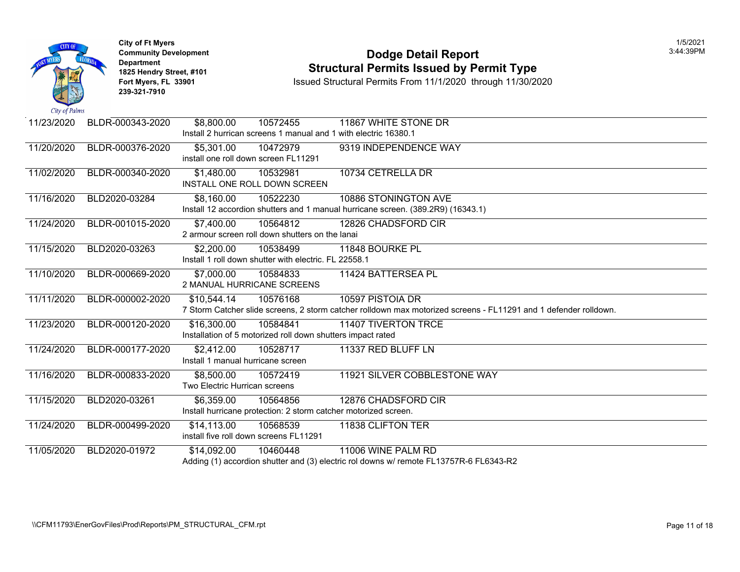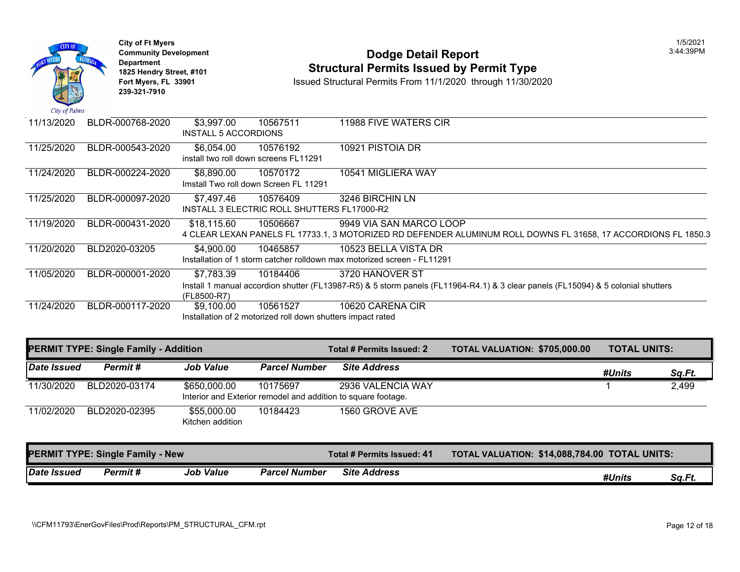| City of Palms | <b>City of Ft Myers</b><br><b>Community Development</b><br><b>Department</b><br>1825 Hendry Street, #101<br>Fort Myers, FL 33901<br>239-321-7910 |                                                       |                                                                         | <b>Dodge Detail Report</b><br><b>Structural Permits Issued by Permit Type</b><br>Issued Structural Permits From 11/1/2020 through 11/30/2020 |
|---------------|--------------------------------------------------------------------------------------------------------------------------------------------------|-------------------------------------------------------|-------------------------------------------------------------------------|----------------------------------------------------------------------------------------------------------------------------------------------|
| 11/13/2020    | BLDR-000768-2020                                                                                                                                 | $\overline{$3,997.00}$<br><b>INSTALL 5 ACCORDIONS</b> | 10567511                                                                | 11988 FIVE WATERS CIR                                                                                                                        |
| 11/25/2020    | BLDR-000543-2020                                                                                                                                 | \$6,054.00                                            | 10576192<br>install two roll down screens FL11291                       | 10921 PISTOIA DR                                                                                                                             |
| 11/24/2020    | BLDR-000224-2020                                                                                                                                 | \$8,890.00                                            | 10570172<br>Imstall Two roll down Screen FL 11291                       | 10541 MIGLIERA WAY                                                                                                                           |
| 11/25/2020    | BLDR-000097-2020                                                                                                                                 | \$7,497.46                                            | 10576409<br>INSTALL 3 ELECTRIC ROLL SHUTTERS FL17000-R2                 | 3246 BIRCHIN LN                                                                                                                              |
| 11/19/2020    | BLDR-000431-2020                                                                                                                                 | \$18,115.60                                           | 10506667                                                                | 9949 VIA SAN MARCO LOOP<br>4 CLEAR LEXAN PANELS FL 17733.1, 3 MOTORIZED RD DEFENDER ALUMINUM ROLL DOWNS FL                                   |
| 11/20/2020    | BLD2020-03205                                                                                                                                    | \$4,900.00                                            | 10465857                                                                | 10523 BELLA VISTA DR<br>Installation of 1 storm catcher rolldown max motorized screen - FL11291                                              |
| 11/05/2020    | BLDR-000001-2020                                                                                                                                 | \$7,783.39<br>(FL8500-R7)                             | 10184406                                                                | 3720 HANOVER ST<br>Install 1 manual accordion shutter (FL13987-R5) & 5 storm panels (FL11964-R4.1) & 3 clear panels (FL1                     |
| 11/24/2020    | BLDR-000117-2020                                                                                                                                 | \$9,100.00                                            | 10561527<br>Installation of 2 motorized roll down shutters impact rated | 10620 CARENA CIR                                                                                                                             |

|             | <b>PERMIT TYPE: Single Family - Addition</b> |                                 |                      | Total # Permits Issued: 2                                                          | <b>TOTAL VALUATION: \$705,00</b> |
|-------------|----------------------------------------------|---------------------------------|----------------------|------------------------------------------------------------------------------------|----------------------------------|
| Date Issued | Permit#                                      | <b>Job Value</b>                | <b>Parcel Number</b> | <b>Site Address</b>                                                                |                                  |
| 11/30/2020  | BLD2020-03174                                | \$650,000.00                    | 10175697             | 2936 VALENCIA WAY<br>Interior and Exterior remodel and addition to square footage. |                                  |
| 11/02/2020  | BLD2020-02395                                | \$55,000.00<br>Kitchen addition | 10184423             | 1560 GROVE AVE                                                                     |                                  |
|             | <b>PERMIT TYPE: Single Family - New</b>      |                                 |                      | Total # Permits Issued: 41                                                         | <b>TOTAL VALUATION: \$14,088</b> |
| Date Issued | <b>Permit #</b>                              | <b>Job Value</b>                | <b>Parcel Number</b> | <b>Site Address</b>                                                                |                                  |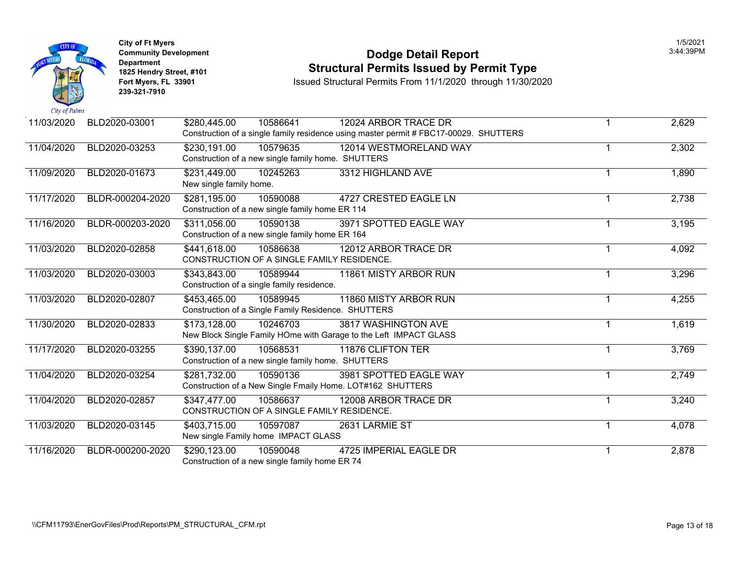

**City of Ft Myers** 1/5/2021 **Department 239-321-7910** 

### **Community Development Dodge Detail Report** 3:44:39PM **1825 Hendry Street, #101** Structural Permits Issued by Permit Type<br>1825 Hendry Street, #101 **Structural Permits From 11/1/2020** through 11/30/20

**Issued Structural Permits From 11/1/2020 through 11/30/2020** 

| 11/03/2020 | BLD2020-03001    | \$280,445.00<br>10586641                                                               | 12024 ARBOR TRACE DR<br>Construction of a single family residence using master permit # FBC17-00029. SHUTTERS |   | 2,629 |
|------------|------------------|----------------------------------------------------------------------------------------|---------------------------------------------------------------------------------------------------------------|---|-------|
| 11/04/2020 | BLD2020-03253    | \$230,191.00<br>10579635<br>Construction of a new single family home. SHUTTERS         | 12014 WESTMORELAND WAY                                                                                        |   | 2,302 |
| 11/09/2020 | BLD2020-01673    | \$231,449.00<br>10245263<br>New single family home.                                    | 3312 HIGHLAND AVE                                                                                             | 1 | 1,890 |
| 11/17/2020 | BLDR-000204-2020 | \$281,195.00<br>10590088<br>Construction of a new single family home ER 114            | <b>4727 CRESTED EAGLE LN</b>                                                                                  | 1 | 2,738 |
| 11/16/2020 | BLDR-000203-2020 | \$311,056.00<br>10590138<br>Construction of a new single family home ER 164            | 3971 SPOTTED EAGLE WAY                                                                                        |   | 3,195 |
| 11/03/2020 | BLD2020-02858    | \$441,618.00<br>10586638<br>CONSTRUCTION OF A SINGLE FAMILY RESIDENCE.                 | 12012 ARBOR TRACE DR                                                                                          | 1 | 4,092 |
| 11/03/2020 | BLD2020-03003    | \$343,843.00<br>10589944<br>Construction of a single family residence.                 | 11861 MISTY ARBOR RUN                                                                                         | 1 | 3,296 |
| 11/03/2020 | BLD2020-02807    | \$453,465.00<br>10589945<br>Construction of a Single Family Residence. SHUTTERS        | 11860 MISTY ARBOR RUN                                                                                         | 1 | 4,255 |
| 11/30/2020 | BLD2020-02833    | \$173,128.00<br>10246703                                                               | 3817 WASHINGTON AVE<br>New Block Single Family HOme with Garage to the Left IMPACT GLASS                      | 1 | 1,619 |
| 11/17/2020 | BLD2020-03255    | \$390,137.00<br>10568531<br>Construction of a new single family home. SHUTTERS         | 11876 CLIFTON TER                                                                                             |   | 3,769 |
| 11/04/2020 | BLD2020-03254    | \$281,732.00<br>10590136<br>Construction of a New Single Fmaily Home. LOT#162 SHUTTERS | 3981 SPOTTED EAGLE WAY                                                                                        | 1 | 2,749 |
| 11/04/2020 | BLD2020-02857    | \$347,477.00<br>10586637<br>CONSTRUCTION OF A SINGLE FAMILY RESIDENCE.                 | 12008 ARBOR TRACE DR                                                                                          |   | 3,240 |
| 11/03/2020 | BLD2020-03145    | \$403,715.00<br>10597087<br>New single Family home IMPACT GLASS                        | 2631 LARMIE ST                                                                                                | 1 | 4,078 |
| 11/16/2020 | BLDR-000200-2020 | \$290,123.00<br>10590048<br>Construction of a new single family home ER 74             | 4725 IMPERIAL EAGLE DR                                                                                        | 1 | 2,878 |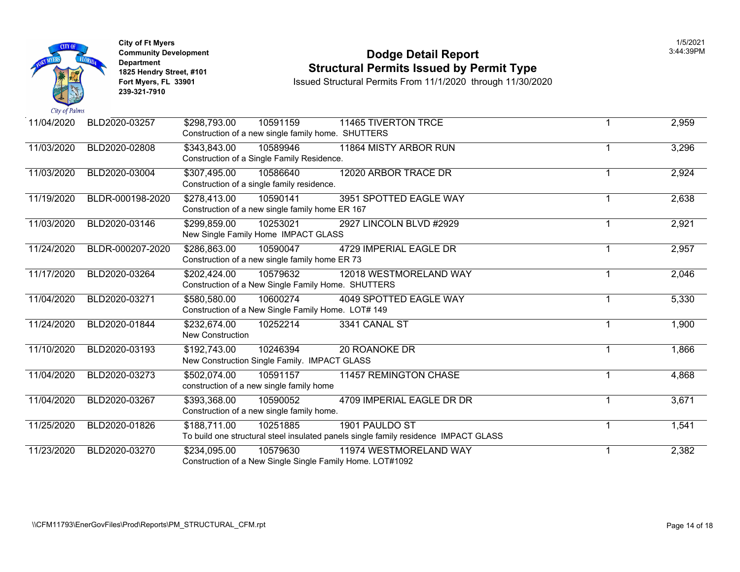

### **Community Development Dodge Detail Report** 3:44:39PM **1825 Hendry Street, #101** Structural Permits Issued by Permit Type<br>1825 Hendry Street, #101 **Structural Permits From 11/1/2020** through 11/30/20

**Issued Structural Permits From 11/1/2020 through 11/30/2020** 

| 11/04/2020 | BLD2020-03257    | \$298,793.00<br>10591159<br>Construction of a new single family home. SHUTTERS | <b>11465 TIVERTON TRCE</b>                                                                            | 2,959 |
|------------|------------------|--------------------------------------------------------------------------------|-------------------------------------------------------------------------------------------------------|-------|
| 11/03/2020 | BLD2020-02808    | \$343,843.00<br>10589946<br>Construction of a Single Family Residence.         | 11864 MISTY ARBOR RUN                                                                                 | 3,296 |
| 11/03/2020 | BLD2020-03004    | 10586640<br>\$307,495.00<br>Construction of a single family residence.         | 12020 ARBOR TRACE DR                                                                                  | 2,924 |
| 11/19/2020 | BLDR-000198-2020 | \$278,413.00<br>10590141<br>Construction of a new single family home ER 167    | 3951 SPOTTED EAGLE WAY                                                                                | 2,638 |
| 11/03/2020 | BLD2020-03146    | \$299,859.00<br>10253021<br>New Single Family Home IMPACT GLASS                | 2927 LINCOLN BLVD #2929                                                                               | 2,921 |
| 11/24/2020 | BLDR-000207-2020 | \$286,863.00<br>10590047<br>Construction of a new single family home ER 73     | 4729 IMPERIAL EAGLE DR                                                                                | 2,957 |
| 11/17/2020 | BLD2020-03264    | 10579632<br>\$202,424.00<br>Construction of a New Single Family Home. SHUTTERS | 12018 WESTMORELAND WAY                                                                                | 2,046 |
| 11/04/2020 | BLD2020-03271    | \$580,580.00<br>10600274<br>Construction of a New Single Family Home. LOT# 149 | 4049 SPOTTED EAGLE WAY                                                                                | 5,330 |
| 11/24/2020 | BLD2020-01844    | \$232,674.00<br>10252214<br><b>New Construction</b>                            | 3341 CANAL ST                                                                                         | 1,900 |
| 11/10/2020 | BLD2020-03193    | \$192,743.00<br>10246394<br>New Construction Single Family. IMPACT GLASS       | 20 ROANOKE DR                                                                                         | 1,866 |
| 11/04/2020 | BLD2020-03273    | \$502,074.00<br>10591157<br>construction of a new single family home           | <b>11457 REMINGTON CHASE</b>                                                                          | 4,868 |
| 11/04/2020 | BLD2020-03267    | \$393,368.00<br>10590052<br>Construction of a new single family home.          | 4709 IMPERIAL EAGLE DR DR                                                                             | 3,671 |
| 11/25/2020 | BLD2020-01826    | \$188,711.00<br>10251885                                                       | 1901 PAULDO ST<br>To build one structural steel insulated panels single family residence IMPACT GLASS | 1,541 |
| 11/23/2020 | BLD2020-03270    | \$234,095.00<br>10579630                                                       | 11974 WESTMORELAND WAY<br>Construction of a New Single Single Family Home. LOT#1092                   | 2,382 |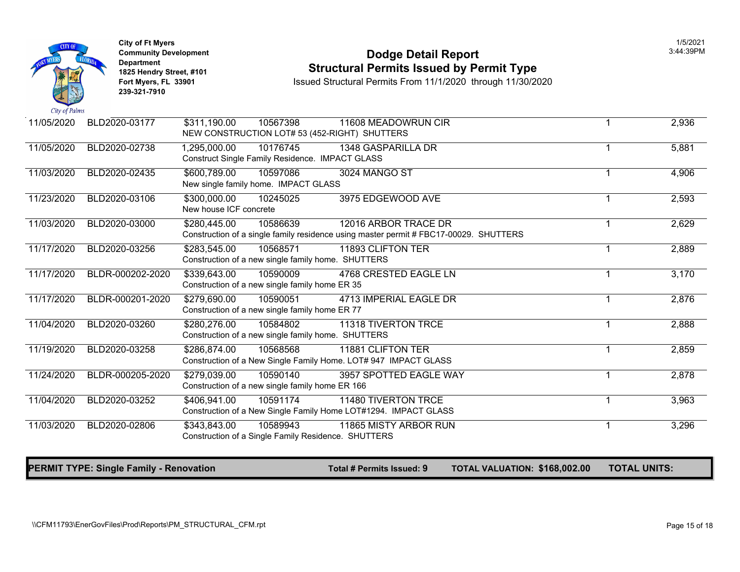

#### **Community Development 13:44:39PM**<br>
Dodge Detail Report<br> **Community Development 18:44:39PM**<br> **Structural Permits Issued by Permit Type 1825 Hendry Street, #101**<br>1825 Hendry Street, #101 **Structural Permits Issued by Permit Type**<br>11/1/2020 through 11/30/20<br>13/2020 Fort Myers, FL 33901

**Fort Myers, FL 33901** Issued Structural Permits From 11/1/2020 through 11/30/2020

| 11/05/2020 | BLD2020-03177    | \$311,190.00                           | 10567398<br>NEW CONSTRUCTION LOT# 53 (452-RIGHT) SHUTTERS          | 11608 MEADOWRUN CIR                                                                                           | 2,936 |
|------------|------------------|----------------------------------------|--------------------------------------------------------------------|---------------------------------------------------------------------------------------------------------------|-------|
| 11/05/2020 | BLD2020-02738    | 1,295,000.00                           | 10176745<br><b>Construct Single Family Residence. IMPACT GLASS</b> | 1348 GASPARILLA DR                                                                                            | 5,881 |
| 11/03/2020 | BLD2020-02435    | \$600,789.00                           | 10597086<br>New single family home. IMPACT GLASS                   | 3024 MANGO ST                                                                                                 | 4,906 |
| 11/23/2020 | BLD2020-03106    | \$300,000.00<br>New house ICF concrete | 10245025                                                           | 3975 EDGEWOOD AVE                                                                                             | 2,593 |
| 11/03/2020 | BLD2020-03000    | \$280,445.00                           | 10586639                                                           | 12016 ARBOR TRACE DR<br>Construction of a single family residence using master permit # FBC17-00029. SHUTTERS | 2,629 |
| 11/17/2020 | BLD2020-03256    | \$283,545.00                           | 10568571<br>Construction of a new single family home. SHUTTERS     | 11893 CLIFTON TER                                                                                             | 2,889 |
| 11/17/2020 | BLDR-000202-2020 | \$339,643.00                           | 10590009<br>Construction of a new single family home ER 35         | 4768 CRESTED EAGLE LN                                                                                         | 3,170 |
| 11/17/2020 | BLDR-000201-2020 | \$279,690.00                           | 10590051<br>Construction of a new single family home ER 77         | 4713 IMPERIAL EAGLE DR                                                                                        | 2,876 |
| 11/04/2020 | BLD2020-03260    | \$280,276.00                           | 10584802<br>Construction of a new single family home. SHUTTERS     | 11318 TIVERTON TRCE                                                                                           | 2,888 |
| 11/19/2020 | BLD2020-03258    | \$286,874.00                           | 10568568                                                           | 11881 CLIFTON TER<br>Construction of a New Single Family Home. LOT# 947 IMPACT GLASS                          | 2,859 |
| 11/24/2020 | BLDR-000205-2020 | \$279,039.00                           | 10590140<br>Construction of a new single family home ER 166        | 3957 SPOTTED EAGLE WAY                                                                                        | 2,878 |
| 11/04/2020 | BLD2020-03252    | \$406,941.00                           | 10591174                                                           | 11480 TIVERTON TRCE<br>Construction of a New Single Family Home LOT#1294. IMPACT GLASS                        | 3,963 |
| 11/03/2020 | BLD2020-02806    | \$343,843.00                           | 10589943<br>Construction of a Single Family Residence. SHUTTERS    | 11865 MISTY ARBOR RUN                                                                                         | 3,296 |

PERMIT TYPE: Single Family - Renovation The Content of Total # Permits Issued: 9 TOTAL VALUATION: \$168,002.00 TOTAL UNITS: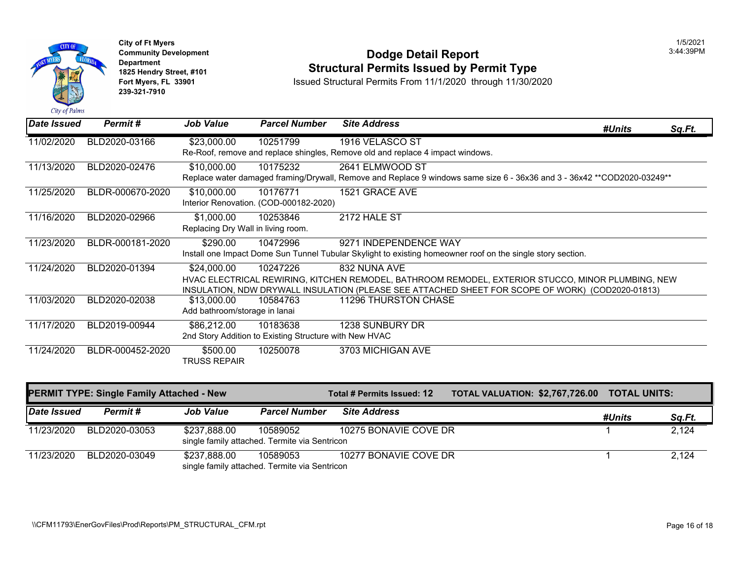

#### **Community Development** 3:44:39PM **Dodge Detail Report Department 1825 Hendry Street, #101 Structural Permits Issued by Permit Type**

**Fort Myers, FL 33901** Issued Structural Permits From 11/1/2020 through 11/30/2020

| <b>Date Issued</b>                               | Permit#          | <b>Job Value</b>                                 | <b>Parcel Number</b>                                               | <b>Site Address</b>                                                                                                                                                                                                   | #Units              | Sq.Ft. |
|--------------------------------------------------|------------------|--------------------------------------------------|--------------------------------------------------------------------|-----------------------------------------------------------------------------------------------------------------------------------------------------------------------------------------------------------------------|---------------------|--------|
| 11/02/2020                                       | BLD2020-03166    | \$23,000.00                                      | 10251799                                                           | 1916 VELASCO ST<br>Re-Roof, remove and replace shingles, Remove old and replace 4 impact windows.                                                                                                                     |                     |        |
| 11/13/2020                                       | BLD2020-02476    | \$10,000.00                                      | 10175232                                                           | 2641 ELMWOOD ST<br>Replace water damaged framing/Drywall, Remove and Replace 9 windows same size 6 - 36x36 and 3 - 36x42 **COD2020-03249**                                                                            |                     |        |
| 11/25/2020                                       | BLDR-000670-2020 | \$10,000.00                                      | 10176771<br>Interior Renovation. (COD-000182-2020)                 | 1521 GRACE AVE                                                                                                                                                                                                        |                     |        |
| 11/16/2020                                       | BLD2020-02966    | \$1,000.00<br>Replacing Dry Wall in living room. | 10253846                                                           | 2172 HALE ST                                                                                                                                                                                                          |                     |        |
| 11/23/2020                                       | BLDR-000181-2020 | \$290.00                                         | 10472996                                                           | 9271 INDEPENDENCE WAY<br>Install one Impact Dome Sun Tunnel Tubular Skylight to existing homeowner roof on the single story section.                                                                                  |                     |        |
| 11/24/2020                                       | BLD2020-01394    | \$24,000.00                                      | 10247226                                                           | 832 NUNA AVE<br>HVAC ELECTRICAL REWIRING, KITCHEN REMODEL, BATHROOM REMODEL, EXTERIOR STUCCO, MINOR PLUMBING, NEW<br>INSULATION, NDW DRYWALL INSULATION (PLEASE SEE ATTACHED SHEET FOR SCOPE OF WORK) (COD2020-01813) |                     |        |
| 11/03/2020                                       | BLD2020-02038    | \$13,000.00<br>Add bathroom/storage in lanai     | 10584763                                                           | 11296 THURSTON CHASE                                                                                                                                                                                                  |                     |        |
| 11/17/2020                                       | BLD2019-00944    | \$86,212.00                                      | 10183638<br>2nd Story Addition to Existing Structure with New HVAC | 1238 SUNBURY DR                                                                                                                                                                                                       |                     |        |
| 11/24/2020                                       | BLDR-000452-2020 | \$500.00<br><b>TRUSS REPAIR</b>                  | 10250078                                                           | 3703 MICHIGAN AVE                                                                                                                                                                                                     |                     |        |
| <b>PERMIT TYPE: Single Family Attached - New</b> |                  |                                                  |                                                                    | <b>TOTAL VALUATION: \$2,767,726.00</b><br><b>Total # Permits Issued: 12</b>                                                                                                                                           | <b>TOTAL UNITS:</b> |        |
| Date Issued                                      | <b>Permit#</b>   | <b>Job Value</b>                                 | <b>Parcel Number</b>                                               | <b>Site Address</b>                                                                                                                                                                                                   | #Units              | Sq.Ft. |
| 11/23/2020                                       | BLD2020-03053    | \$237,888.00                                     | 10589052<br>single family attached. Termite via Sentricon          | 10275 BONAVIE COVE DR                                                                                                                                                                                                 |                     | 2,124  |

11/23/2020 BLD2020-03049 \$237,888.00 10589053 10277 BONAVIE COVE DR 1 2,124 single family attached. Termite via Sentricon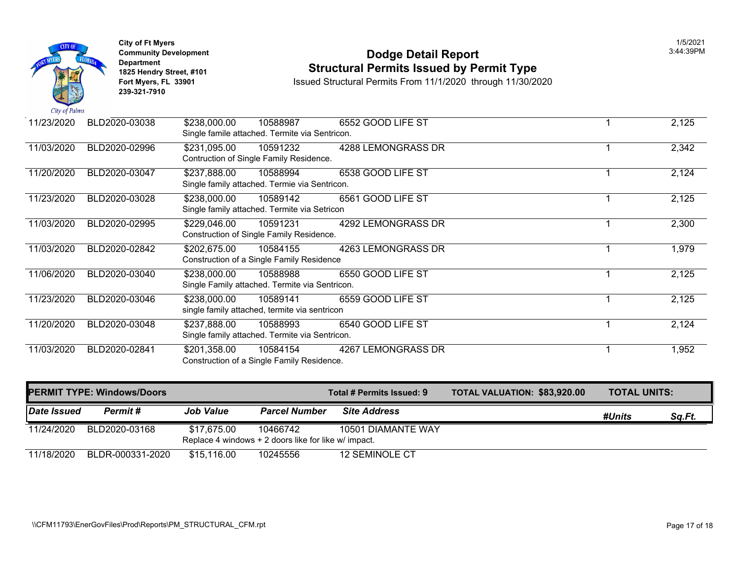|               |               | <b>City of Ft Myers</b><br><b>Community Development</b><br><b>Department</b><br>1825 Hendry Street, #101<br>Fort Myers, FL 33901<br>239-321-7910 |                          |                                                            | <b>Dodge Detail Report</b><br><b>Structural Permits Issued by Permit Type</b><br>Issued Structural Permits From 11/1/2020 through 11/30/2020 |
|---------------|---------------|--------------------------------------------------------------------------------------------------------------------------------------------------|--------------------------|------------------------------------------------------------|----------------------------------------------------------------------------------------------------------------------------------------------|
| City of Palms |               |                                                                                                                                                  |                          |                                                            |                                                                                                                                              |
| 11/23/2020    |               | BLD2020-03038                                                                                                                                    | \$238,000.00             | 10588987<br>Single famile attached. Termite via Sentricon. | 6552 GOOD LIFE ST                                                                                                                            |
| 11/03/2020    |               | BLD2020-02996                                                                                                                                    | \$231,095.00             | 10591232<br>Contruction of Single Family Residence.        | 4288 LEMONGRASS DR                                                                                                                           |
| 11/20/2020    | BLD2020-03047 |                                                                                                                                                  | \$237,888.00             | 10588994<br>Single family attached. Termie via Sentricon.  | 6538 GOOD LIFE ST                                                                                                                            |
| 11/23/2020    |               | BLD2020-03028                                                                                                                                    | \$238,000.00             | 10589142<br>Single family attached. Termite via Setricon   | 6561 GOOD LIFE ST                                                                                                                            |
| 11/03/2020    |               | BLD2020-02995                                                                                                                                    | \$229,046.00             | 10591231<br>Construction of Single Family Residence.       | 4292 LEMONGRASS DR                                                                                                                           |
| 11/03/2020    |               | BLD2020-02842                                                                                                                                    | \$202,675.00             | 10584155<br>Construction of a Single Family Residence      | <b>4263 LEMONGRASS DR</b>                                                                                                                    |
| 11/06/2020    |               | BLD2020-03040                                                                                                                                    | $\overline{$}238,000.00$ | 10588988<br>Single Family attached. Termite via Sentricon. | 6550 GOOD LIFE ST                                                                                                                            |
| 11/23/2020    |               | BLD2020-03046                                                                                                                                    | \$238,000.00             | 10589141<br>single family attached, termite via sentricon  | 6559 GOOD LIFE ST                                                                                                                            |
| 11/20/2020    |               | BLD2020-03048                                                                                                                                    | \$237,888.00             | 10588993<br>Single family attached. Termite via Sentricon. | 6540 GOOD LIFE ST                                                                                                                            |
| 11/03/2020    |               | BLD2020-02841                                                                                                                                    | \$201,358.00             | 10584154<br>Construction of a Single Family Residence.     | 4267 LEMONGRASS DR                                                                                                                           |

| <b>PERMIT TYPE: Windows/Doors</b> |                  |                  | Total # Permits Issued: 9                                        | <b>TOTAL VALUATION: \$83,920</b> |  |
|-----------------------------------|------------------|------------------|------------------------------------------------------------------|----------------------------------|--|
| Date Issued                       | Permit #         | <b>Job Value</b> | <b>Parcel Number</b>                                             | <b>Site Address</b>              |  |
| 11/24/2020                        | BLD2020-03168    | \$17,675.00      | 10466742<br>Replace 4 windows + 2 doors like for like w/ impact. | 10501 DIAMANTE WAY               |  |
| 11/18/2020                        | BLDR-000331-2020 | \$15,116.00      | 10245556                                                         | 12 SEMINOLE CT                   |  |